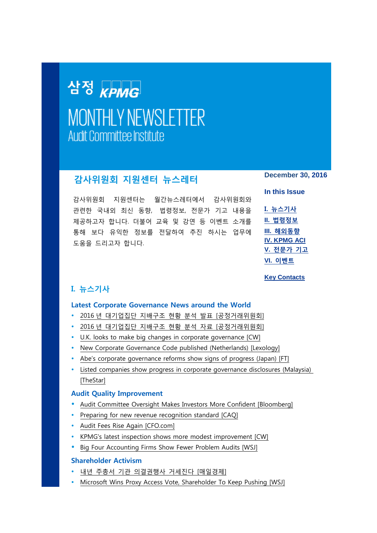# <span id="page-0-1"></span>삼정 kPMG **MONTHLY NEWSLETTER Audit Committee Institute**

# **감사위원회 지원센터 뉴스레터**

감사위원회 지원센터는 월간뉴스레터에서 감사위원회와 관련한 국내외 최신 동향, 법령정보, 전문가 기고 내용을 제공하고자 합니다. 더불어 교육 및 강연 등 이벤트 소개를 통해 보다 유익한 정보를 전달하여 추진 하시는 업무에 도움을 드리고자 합니다.

**December 30, 2016**

**In this Issue**

**I. [뉴스기사](#page-0-0) II. [법령정보](#page-1-0) III. [해외동향](#page-1-1) [IV. KPMG ACI](#page-2-0) V. [전문가](#page-3-0) 기고 VI. [이벤트](#page-3-1)**

**[Key Contacts](#page-5-0)**

# <span id="page-0-0"></span>**I. 뉴스기사**

#### **Latest Corporate Governance News around the World**

- 2016 년 대기업집단 지배구조 현황 분석 발표 [[공정거래위원회](http://www.kr.kpmg.com/files/filedown.asp?fm=2016_Biz_Group_CG_Release_FTC.pdf)]
- 2016 년 대기업집단 지배구조 현황 분석 자료 [[공정거래위원회](http://www.kr.kpmg.com/files/filedown.asp?fm=2016_Biz_Group_CG_Appendix_FTC.pdf)]
- [U.K. looks to make big changes in corporate governance \[CW\]](http://www.kr.kpmg.com/files/filedown.asp?fm=20161213_UK_Green_Paper_CW.pdf)
- [New Corporate Governance Code published \(Netherlands\) \[Lexology\]](http://www.kr.kpmg.com/files/filedown.asp?fm=20161212_Netherlands_CG_Code_Lexology.pdf)
- [Abe's corporate governance reforms show signs of progress \(Japan\) \[FT\]](http://www.kr.kpmg.com/files/filedown.asp?fm=20161221_Abe_CG_Japan_FT.pdf)
- [Listed companies show progress in corporate governance disclosures \(Malaysia\)](http://www.thestar.com.my/business/business-news/2016/12/22/listed-companies-show-progress-in-corporate-governance-disclosures---bursa-malaysia/)  [\[TheStar\]](http://www.thestar.com.my/business/business-news/2016/12/22/listed-companies-show-progress-in-corporate-governance-disclosures---bursa-malaysia/)

### **Audit Quality Improvement**

- [Audit Committee Oversight Makes Investors More Confident \[Bloomberg\]](https://www.bna.com/audit-committee-oversight-n73014448217/)
- [Preparing for new revenue recognition standard \[CAQ\]](http://www.kr.kpmg.com/files/filedown.asp?fm=New_Rev_Rec_CAQ_Dec_2016.pdf)
- [Audit Fees Rise Again \[CFO.com\]](http://ww2.cfo.com/auditing/2016/12/audit-fees-rise/)
- [KPMG's latest inspection shows more modest improvement \[CW\]](http://www.kr.kpmg.com/files/filedown.asp?fm=20161206_KPMG_Improvement_CW.pdf)
- [Big Four Accounting Firms Show Fewer Problem Audits \[WSJ\]](http://www.kr.kpmg.com/files/filedown.asp?fm=20161212_Big4_fewer_problems_WSJ.pdf)

### **Shareholder Activism**

- 내년 주총서 기관 [의결권행사](http://news.naver.com/main/read.nhn?mode=LSD&mid=sec&sid1=101&oid=009&aid=0003857307) 거세진다 [매일경제]
- [Microsoft Wins Proxy Access Vote, Shareholder To Keep Pushing \[WSJ\]](http://www.kr.kpmg.com/files/filedown.asp?fm=20161201_MS_Proxy_Access_WSJ.pdf)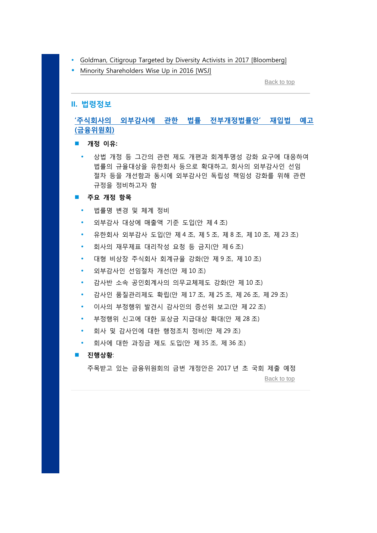- [Goldman, Citigroup Targeted by Diversity Activists in 2017 \[Bloomberg\]](https://www.bloomberg.com/news/articles/2016-12-06/goldman-citigroup-in-crosshairs-of-diversity-activists-for-2017)
- [Minority Shareholders Wise Up in 2016 \[WSJ\]](http://www.kr.kpmg.com/files/filedown.asp?fm=20161226_Minority_Shareholder_WSJ.pdf)

[Back to top](#page-0-1)

#### <span id="page-1-0"></span>**II. 법령정보**

# **'주식회사의 외부감사에 관한 법률 [전부개정법률안'](http://www.kr.kpmg.com/files/filedown.asp?fm=Audit_Law_Amendment_FSC_Nov2016.pdf) 재입법 예고 ([금융위원회](http://www.kr.kpmg.com/files/filedown.asp?fm=Audit_Law_Amendment_FSC_Nov2016.pdf))**

- **개정 이유:**
	- 상법 개정 등 그간의 관련 제도 개편과 회계투명성 강화 요구에 대응하여 법률의 규율대상을 유한회사 등으로 확대하고, 회사의 외부감사인 선임 절차 등을 개선함과 동시에 외부감사인 독립성 책임성 강화를 위해 관련 규정을 정비하고자 함
- **주요 개정 항목**
	- 법률명 변경 및 체계 정비
	- 외부감사 대상에 매출액 기준 도입(안 제 4 조)
	- 유한회사 외부감사 도입(안 제 4 조, 제 5 조, 제 8 조, 제 10 조, 제 23 조)
	- 회사의 재무제표 대리작성 요청 등 금지(안 제 6 조)
	- 대형 비상장 주식회사 회계규율 강화(안 제 9 조, 제 10 조)
	- 외부감사인 선임절차 개선(안 제 10 조)
	- 감사반 소속 공인회계사의 의무교체제도 강화(안 제 10 조)
	- 감사인 품질관리제도 확립(안 제 17 조, 제 25 조, 제 26 조, 제 29 조)
	- 이사의 부정행위 발견시 감사인의 증선위 보고(안 제 22 조)
	- 부정행위 신고에 대한 포상금 지급대상 확대(안 제 28 조)
	- 회사 및 감사인에 대한 행정조치 정비(안 제 29 조)
	- 회사에 대한 과징금 제도 도입(안 제 35 조, 제 36 조)

#### **진행상황**:

<span id="page-1-1"></span>주목받고 있는 금융위원회의 금번 개정안은 2017 년 초 국회 제출 예정

[Back to top](#page-0-1)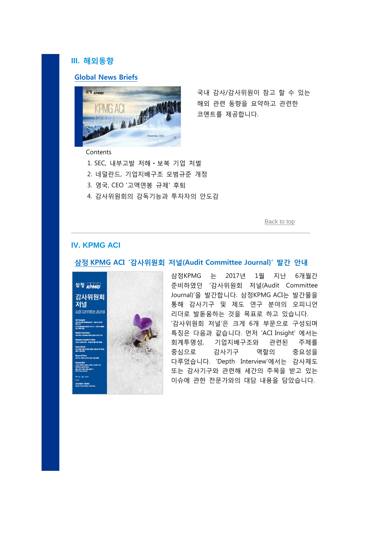## **III. 해외동향**

#### **[Global News Briefs](http://www.kr.kpmg.com/files/filedown.asp?fm=ACI_Newsletter_December_2016_Global_Trend.pdf)**



국내 감사/감사위원이 참고 할 수 있는 해외 관련 동향을 요약하고 관련한 코멘트를 제공합니다.

#### Contents

- 1. SEC, 내부고발 저해ㆍ보복 기업 처벌
- 2. 네덜란드, 기업지배구조 모범규준 개정
- 3. 영국, CEO '고액연봉 규제' 후퇴
- 4. 감사위원회의 감독기능과 투자자의 안도감

[Back to top](#page-0-1)

#### <span id="page-2-0"></span>**IV. KPMG ACI**

#### **삼정 [KPMG](http://news.einfomax.co.kr/news/articleView.html?idxno=245450) ACI '감사위원회 저널(Audit Committee Journal)' 발간 안내**



삼정KPMG 는 2017년 1월 지난 6개월간 준비하였던 '감사위원회 저널(Audit Committee Journal)'을 발간합니다. 삼정KPMG ACI는 발간물을 통해 감사기구 및 제도 연구 분야의 오피니언 리더로 발돋움하는 것을 목표로 하고 있습니다. '감사위원회 저널'은 크게 6개 부문으로 구성되며 특징은 다음과 같습니다. 먼저 'ACI Insight' 에서는 회계투명성, 기업지배구조와 관련된 주제를 중심으로 감사기구 역할의 중요성을 다루었습니다. 'Depth Interview'에서는 감사제도 또는 감사기구와 관련해 세간의 주목을 받고 있는 이슈에 관한 전문가와의 대담 내용을 담았습니다.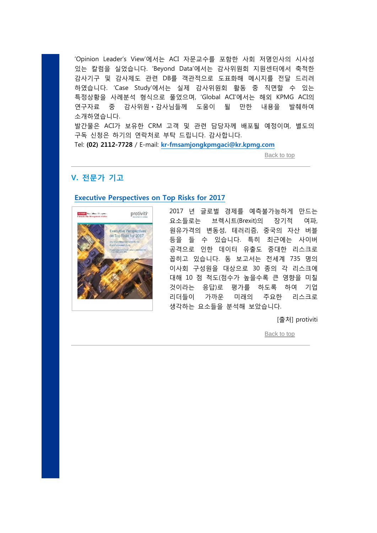'Opinion Leader's View'에서는 ACI 자문교수를 포함한 사회 저명인사의 시사성 있는 칼럼을 실었습니다. 'Beyond Data'에서는 감사위원회 지원센터에서 축적한 감사기구 및 감사제도 관련 DB를 객관적으로 도표화해 메시지를 전달 드리려 하였습니다. 'Case Study'에서는 실제 감사위원회 활동 중 직면할 수 있는 특정상황을 사례분석 형식으로 풀었으며, 'Global ACI'에서는 해외 KPMG ACI의 연구자료 중 감사위원ㆍ감사님들께 도움이 될 만한 내용을 발췌하여 소개하였습니다.

발간물은 ACI가 보유한 CRM 고객 및 관련 담당자께 배포될 예정이며, 별도의 구독 신청은 하기의 연락처로 부탁 드립니다. 감사합니다.

Tel: **(02) 2112-7728** / E-mail: **[kr-fmsamjongkpmgaci@kr.kpmg.com](mailto:kr-fmsamjongkpmgaci@kr.kpmg.com)**

[Back to top](#page-0-1)

## <span id="page-3-0"></span>**V. 전문가 기고**

#### **[Executive Perspectives on Top Risks for 2017](http://www.kr.kpmg.com/files/filedown.asp?fm=Top_Risks_2017_Protiviti.pdf)**

<span id="page-3-1"></span>

2017 년 글로벌 경제를 예측불가능하게 만드는 요소들로는 브렉시트(Brexit)의 장기적 여파, 원유가격의 변동성, 테러리즘, 중국의 자산 버블 등을 들 수 있습니다. 특히 최근에는 사이버 공격으로 인한 데이터 유출도 중대한 리스크로 꼽히고 있습니다. 동 보고서는 전세계 735 명의 이사회 구성원을 대상으로 30 종의 각 리스크에 대해 10 점 척도(점수가 높을수록 큰 영향을 미칠 것이라는 응답)로 평가를 하도록 하여 기업 리더들이 가까운 미래의 주요한 리스크로 생각하는 요소들을 분석해 보았습니다.

[출처] protiviti

[Back to top](#page-0-1)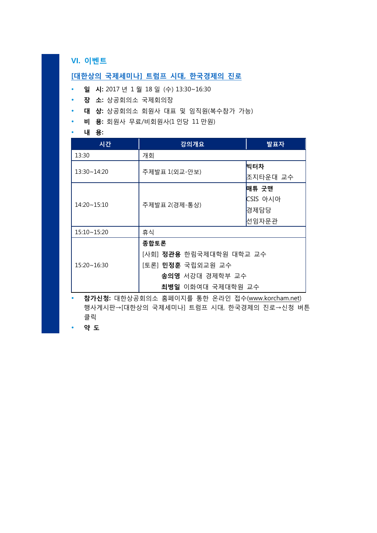**VI. 이벤트**

#### **[대한상의 국제세미나] 트럼프 시대, 한국경제의 진로**

- **일 시:** 2017 년 1 월 18 일 (수) 13:30~16:30
- **장 소:** 상공회의소 국제회의장
- **대 상:** 상공회의소 회원사 대표 및 임직원(복수참가 가능)
- **비 용:** 회원사 무료/비회원사(1 인당 11 만원)

**내 용:**

| 시간                 | 강의개요                           | 발표자      |
|--------------------|--------------------------------|----------|
| 13:30              | 개회                             |          |
| 13:30~14:20        | 주제발표 1(외교-안보)                  | 빅터차      |
|                    |                                | 조지타운대 교수 |
| 14:20~15:10        | 주제발표 2(경제-통상)                  | 매튜 굿맨    |
|                    |                                | CSIS 아시아 |
|                    |                                | 경제담당     |
|                    |                                | 선임자문관    |
| 15:10~15:20        | 휴식                             |          |
|                    | 종합토론                           |          |
| $15:20 \sim 16:30$ | [사회] <b>정관용</b> 한림국제대학원 대학교 교수 |          |
|                    | [토론] <b>민정훈</b> 국립외교원 교수       |          |
|                    | 송의영 서강대 경제학부 교수                |          |
|                    | 최병일 이화여대 국제대학원 교수              |          |

 **참가신청:** 대한상공회의소 홈페이지를 통한 온라인 접수[\(www.korcham.net\)](http://www.korcham.net/) 행사게시판→[대한상의 국제세미나] 트럼프 시대, 한국경제의 진로→신청 버튼 클릭

**약 도**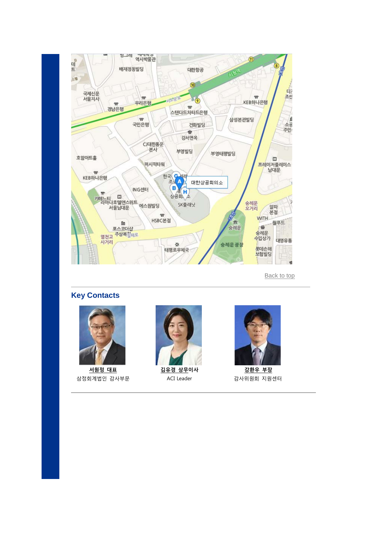

[Back to top](#page-0-1)

#### <span id="page-5-0"></span>**Key Contacts**



**[서원정](mailto:wsuh@kr.kpmg.com) 대표** 삼정회계법인 감사부문



**[김유경](mailto:youkyoungkim@kr.kpmg.com) 상무이사** ACI Leader



**[강환우](mailto:hwanwookang@kr.kpmg.com) 부장** 감사위원회 지원센터